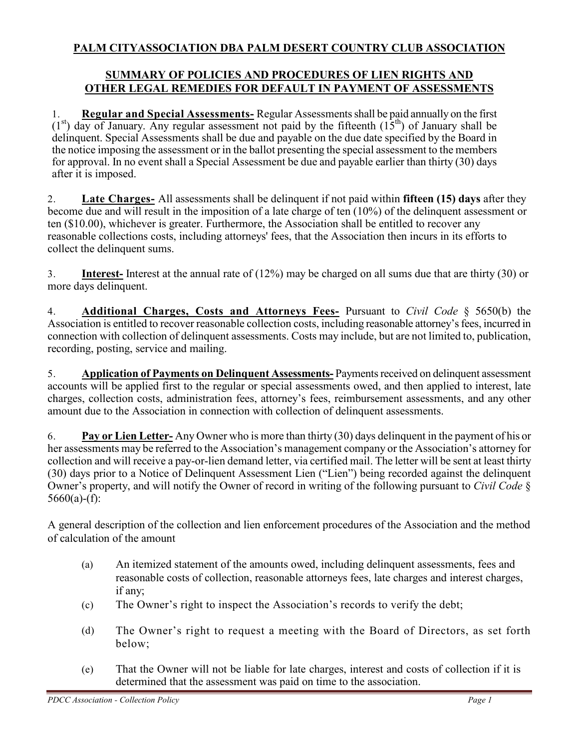## **PALM CITYASSOCIATION DBA PALM DESERT COUNTRY CLUB ASSOCIATION**

## **SUMMARY OF POLICIES AND PROCEDURES OF LIEN RIGHTS AND OTHER LEGAL REMEDIES FOR DEFAULT IN PAYMENT OF ASSESSMENTS**

1. **Regular and Special Assessments-** Regular Assessments shall be paid annually on the first  $(1<sup>st</sup>)$  day of January. Any regular assessment not paid by the fifteenth  $(15<sup>th</sup>)$  of January shall be delinquent. Special Assessments shall be due and payable on the due date specified by the Board in the notice imposing the assessment or in the ballot presenting the special assessment to the members for approval. In no event shall a Special Assessment be due and payable earlier than thirty (30) days after it is imposed.

2. **Late Charges-** All assessments shall be delinquent if not paid within **fifteen (15) days** after they become due and will result in the imposition of a late charge of ten (10%) of the delinquent assessment or ten (\$10.00), whichever is greater. Furthermore, the Association shall be entitled to recover any reasonable collections costs, including attorneys' fees, that the Association then incurs in its efforts to collect the delinquent sums.

3. **Interest-** Interest at the annual rate of (12%) may be charged on all sums due that are thirty (30) or more days delinquent.

4. **Additional Charges, Costs and Attorneys Fees-** Pursuant to *Civil Code* § 5650(b) the Association is entitled to recover reasonable collection costs, including reasonable attorney's fees, incurred in connection with collection of delinquent assessments. Costs may include, but are not limited to, publication, recording, posting, service and mailing.

5. **Application of Payments on Delinquent Assessments-** Payments received on delinquent assessment accounts will be applied first to the regular or special assessments owed, and then applied to interest, late charges, collection costs, administration fees, attorney's fees, reimbursement assessments, and any other amount due to the Association in connection with collection of delinquent assessments.

6. **Pay or Lien Letter-** Any Owner who is more than thirty (30) days delinquent in the payment of his or her assessments may be referred to the Association's management company or the Association's attorney for collection and will receive a pay-or-lien demand letter, via certified mail. The letter will be sent at least thirty (30) days prior to a Notice of Delinquent Assessment Lien ("Lien") being recorded against the delinquent Owner's property, and will notify the Owner of record in writing of the following pursuant to *Civil Code* § 5660(a)-(f):

A general description of the collection and lien enforcement procedures of the Association and the method of calculation of the amount

- (a) An itemized statement of the amounts owed, including delinquent assessments, fees and reasonable costs of collection, reasonable attorneys fees, late charges and interest charges, if any;
- (c) The Owner's right to inspect the Association's records to verify the debt;
- (d) The Owner's right to request a meeting with the Board of Directors, as set forth below;
- (e) That the Owner will not be liable for late charges, interest and costs of collection if it is determined that the assessment was paid on time to the association.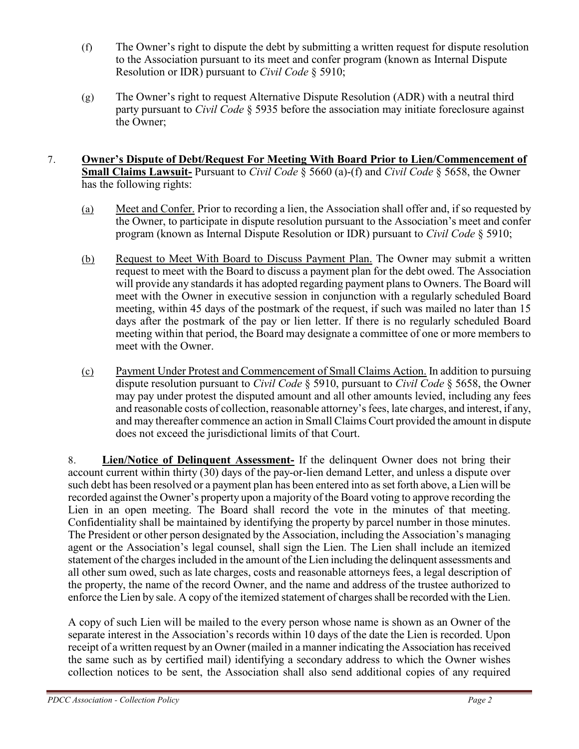- (f) The Owner's right to dispute the debt by submitting a written request for dispute resolution to the Association pursuant to its meet and confer program (known as Internal Dispute Resolution or IDR) pursuant to *Civil Code* § 5910;
- (g) The Owner's right to request Alternative Dispute Resolution (ADR) with a neutral third party pursuant to *Civil Code* § 5935 before the association may initiate foreclosure against the Owner;
- 7. **Owner's Dispute of Debt/Request For Meeting With Board Prior to Lien/Commencement of Small Claims Lawsuit-** Pursuant to *Civil Code* § 5660 (a)-(f) and *Civil Code* § 5658, the Owner has the following rights:
	- (a) Meet and Confer. Prior to recording a lien, the Association shall offer and, if so requested by the Owner, to participate in dispute resolution pursuant to the Association's meet and confer program (known as Internal Dispute Resolution or IDR) pursuant to *Civil Code* § 5910;
	- (b) Request to Meet With Board to Discuss Payment Plan. The Owner may submit a written request to meet with the Board to discuss a payment plan for the debt owed. The Association will provide any standards it has adopted regarding payment plans to Owners. The Board will meet with the Owner in executive session in conjunction with a regularly scheduled Board meeting, within 45 days of the postmark of the request, if such was mailed no later than 15 days after the postmark of the pay or lien letter. If there is no regularly scheduled Board meeting within that period, the Board may designate a committee of one or more members to meet with the Owner.
	- (c) Payment Under Protest and Commencement of Small Claims Action. In addition to pursuing dispute resolution pursuant to *Civil Code* § 5910, pursuant to *Civil Code* § 5658, the Owner may pay under protest the disputed amount and all other amounts levied, including any fees and reasonable costs of collection, reasonable attorney's fees, late charges, and interest, if any, and may thereafter commence an action in Small Claims Court provided the amount in dispute does not exceed the jurisdictional limits of that Court.

8. **Lien/Notice of Delinquent Assessment-** If the delinquent Owner does not bring their account current within thirty (30) days of the pay-or-lien demand Letter, and unless a dispute over such debt has been resolved or a payment plan has been entered into as set forth above, a Lien will be recorded against the Owner's property upon a majority of the Board voting to approve recording the Lien in an open meeting. The Board shall record the vote in the minutes of that meeting. Confidentiality shall be maintained by identifying the property by parcel number in those minutes. The President or other person designated by the Association, including the Association's managing agent or the Association's legal counsel, shall sign the Lien. The Lien shall include an itemized statement of the charges included in the amount of the Lien including the delinquent assessments and all other sum owed, such as late charges, costs and reasonable attorneys fees, a legal description of the property, the name of the record Owner, and the name and address of the trustee authorized to enforce the Lien by sale. A copy of the itemized statement of charges shall be recorded with the Lien.

A copy of such Lien will be mailed to the every person whose name is shown as an Owner of the separate interest in the Association's records within 10 days of the date the Lien is recorded. Upon receipt of a written request by an Owner (mailed in a manner indicating the Association has received the same such as by certified mail) identifying a secondary address to which the Owner wishes collection notices to be sent, the Association shall also send additional copies of any required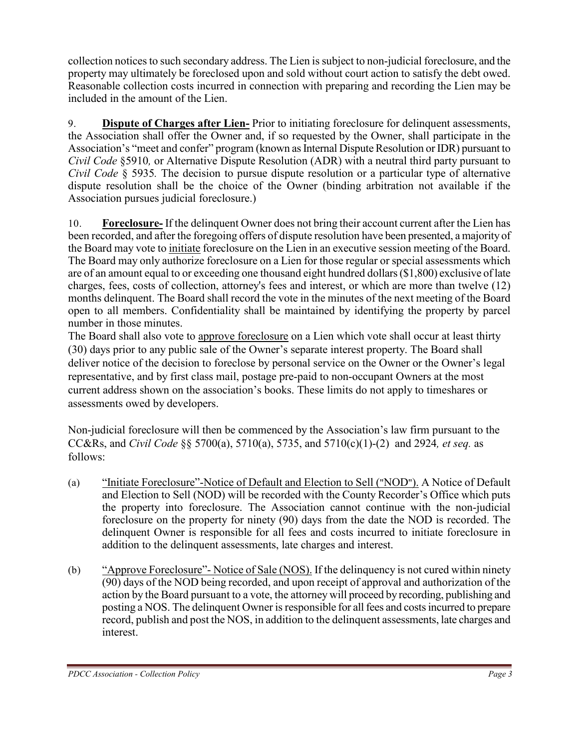collection notices to such secondary address. The Lien is subject to non-judicial foreclosure, and the property may ultimately be foreclosed upon and sold without court action to satisfy the debt owed. Reasonable collection costs incurred in connection with preparing and recording the Lien may be included in the amount of the Lien.

9. **Dispute of Charges after Lien-** Prior to initiating foreclosure for delinquent assessments, the Association shall offer the Owner and, if so requested by the Owner, shall participate in the Association's "meet and confer" program (known as Internal Dispute Resolution or IDR) pursuant to *Civil Code* §5910*,* or Alternative Dispute Resolution (ADR) with a neutral third party pursuant to *Civil Code* § 5935*.* The decision to pursue dispute resolution or a particular type of alternative dispute resolution shall be the choice of the Owner (binding arbitration not available if the Association pursues judicial foreclosure.)

10. **Foreclosure-** If the delinquent Owner does not bring their account current after the Lien has been recorded, and after the foregoing offers of dispute resolution have been presented, a majority of the Board may vote to initiate foreclosure on the Lien in an executive session meeting of the Board. The Board may only authorize foreclosure on a Lien for those regular or special assessments which are of an amount equal to or exceeding one thousand eight hundred dollars (\$1,800) exclusive of late charges, fees, costs of collection, attorney's fees and interest, or which are more than twelve (12) months delinquent. The Board shall record the vote in the minutes of the next meeting of the Board open to all members. Confidentiality shall be maintained by identifying the property by parcel number in those minutes.

The Board shall also vote to approve foreclosure on a Lien which vote shall occur at least thirty (30) days prior to any public sale of the Owner's separate interest property. The Board shall deliver notice of the decision to foreclose by personal service on the Owner or the Owner's legal representative, and by first class mail, postage pre-paid to non-occupant Owners at the most current address shown on the association's books. These limits do not apply to timeshares or assessments owed by developers.

Non-judicial foreclosure will then be commenced by the Association's law firm pursuant to the CC&Rs, and *Civil Code* §§ 5700(a), 5710(a), 5735, and 5710(c)(1)-(2) and 2924*, et seq.* as follows:

- (a) "Initiate Foreclosure"-Notice of Default and Election to Sell ("NOD"). A Notice of Default and Election to Sell (NOD) will be recorded with the County Recorder's Office which puts the property into foreclosure. The Association cannot continue with the non-judicial foreclosure on the property for ninety (90) days from the date the NOD is recorded. The delinquent Owner is responsible for all fees and costs incurred to initiate foreclosure in addition to the delinquent assessments, late charges and interest.
- (b) "Approve Foreclosure"- Notice of Sale (NOS). If the delinquency is not cured within ninety (90) days of the NOD being recorded, and upon receipt of approval and authorization of the action by the Board pursuant to a vote, the attorney will proceed by recording, publishing and posting a NOS. The delinquent Owner is responsible for all fees and costs incurred to prepare record, publish and post the NOS, in addition to the delinquent assessments, late charges and interest.